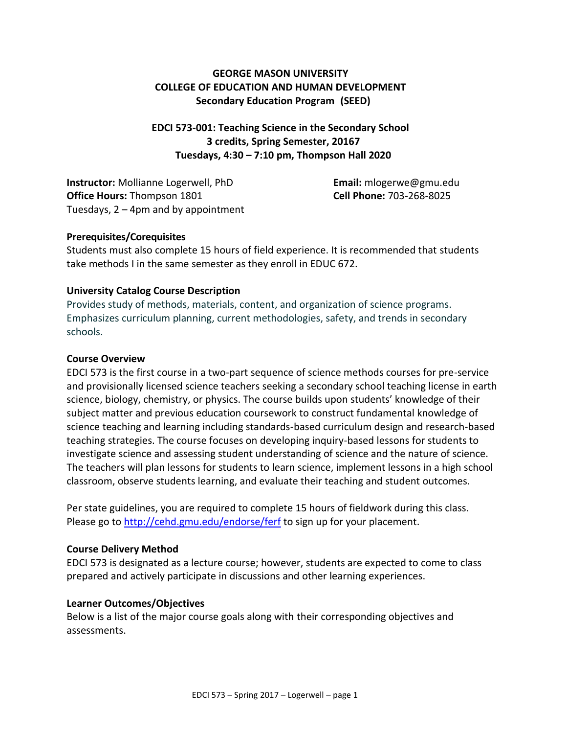# **GEORGE MASON UNIVERSITY COLLEGE OF EDUCATION AND HUMAN DEVELOPMENT Secondary Education Program (SEED)**

**EDCI 573-001: Teaching Science in the Secondary School 3 credits, Spring Semester, 20167 Tuesdays, 4:30 – 7:10 pm, Thompson Hall 2020**

**Instructor:** Mollianne Logerwell, PhD **Email:** mlogerwe@gmu.edu **Office Hours:** Thompson 1801 **Cell Phone:** 703-268-8025 Tuesdays, 2 – 4pm and by appointment

## **Prerequisites/Corequisites**

Students must also complete 15 hours of field experience. It is recommended that students take methods I in the same semester as they enroll in EDUC 672.

# **University Catalog Course Description**

Provides study of methods, materials, content, and organization of science programs. Emphasizes curriculum planning, current methodologies, safety, and trends in secondary schools.

# **Course Overview**

EDCI 573 is the first course in a two-part sequence of science methods courses for pre-service and provisionally licensed science teachers seeking a secondary school teaching license in earth science, biology, chemistry, or physics. The course builds upon students' knowledge of their subject matter and previous education coursework to construct fundamental knowledge of science teaching and learning including standards-based curriculum design and research-based teaching strategies. The course focuses on developing inquiry-based lessons for students to investigate science and assessing student understanding of science and the nature of science. The teachers will plan lessons for students to learn science, implement lessons in a high school classroom, observe students learning, and evaluate their teaching and student outcomes.

Per state guidelines, you are required to complete 15 hours of fieldwork during this class. Please go to<http://cehd.gmu.edu/endorse/ferf> to sign up for your placement.

## **Course Delivery Method**

EDCI 573 is designated as a lecture course; however, students are expected to come to class prepared and actively participate in discussions and other learning experiences.

## **Learner Outcomes/Objectives**

Below is a list of the major course goals along with their corresponding objectives and assessments.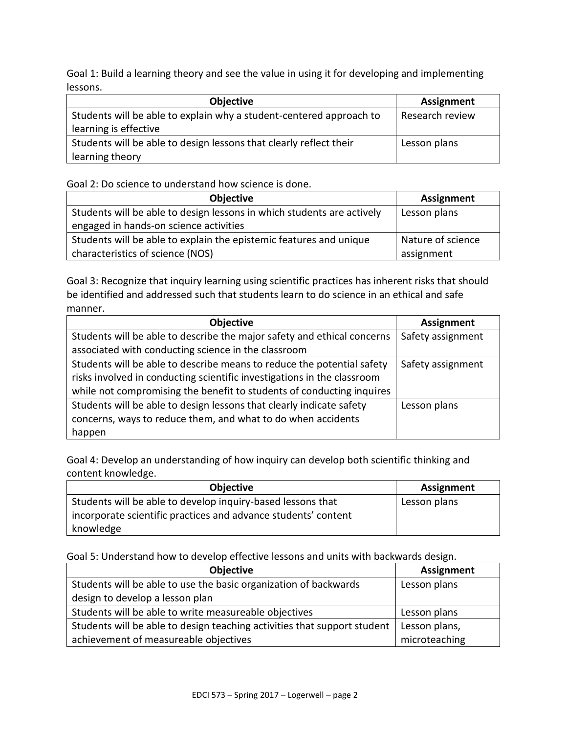Goal 1: Build a learning theory and see the value in using it for developing and implementing lessons.

| <b>Objective</b>                                                    | <b>Assignment</b> |
|---------------------------------------------------------------------|-------------------|
| Students will be able to explain why a student-centered approach to | Research review   |
| learning is effective                                               |                   |
| Students will be able to design lessons that clearly reflect their  | Lesson plans      |
| learning theory                                                     |                   |

## Goal 2: Do science to understand how science is done.

| <b>Objective</b>                                                       | <b>Assignment</b> |
|------------------------------------------------------------------------|-------------------|
| Students will be able to design lessons in which students are actively | Lesson plans      |
| engaged in hands-on science activities                                 |                   |
| Students will be able to explain the epistemic features and unique     | Nature of science |
| characteristics of science (NOS)                                       | assignment        |

Goal 3: Recognize that inquiry learning using scientific practices has inherent risks that should be identified and addressed such that students learn to do science in an ethical and safe manner.

| <b>Objective</b>                                                        | <b>Assignment</b> |
|-------------------------------------------------------------------------|-------------------|
| Students will be able to describe the major safety and ethical concerns | Safety assignment |
| associated with conducting science in the classroom                     |                   |
| Students will be able to describe means to reduce the potential safety  | Safety assignment |
| risks involved in conducting scientific investigations in the classroom |                   |
| while not compromising the benefit to students of conducting inquires   |                   |
| Students will be able to design lessons that clearly indicate safety    | Lesson plans      |
| concerns, ways to reduce them, and what to do when accidents            |                   |
| happen                                                                  |                   |

Goal 4: Develop an understanding of how inquiry can develop both scientific thinking and content knowledge.

| <b>Objective</b>                                               | Assignment   |
|----------------------------------------------------------------|--------------|
| Students will be able to develop inquiry-based lessons that    | Lesson plans |
| incorporate scientific practices and advance students' content |              |
| knowledge                                                      |              |

Goal 5: Understand how to develop effective lessons and units with backwards design.

| Objective                                                                | <b>Assignment</b> |
|--------------------------------------------------------------------------|-------------------|
| Students will be able to use the basic organization of backwards         | Lesson plans      |
| design to develop a lesson plan                                          |                   |
| Students will be able to write measureable objectives                    | Lesson plans      |
| Students will be able to design teaching activities that support student | Lesson plans,     |
| achievement of measureable objectives                                    | microteaching     |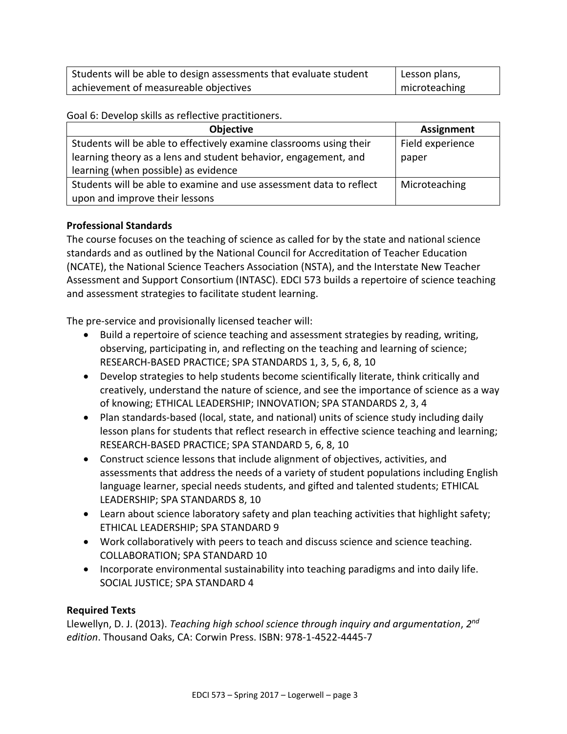| Students will be able to design assessments that evaluate student | l Lesson plans, |
|-------------------------------------------------------------------|-----------------|
| achievement of measureable objectives                             | microteaching   |

Goal 6: Develop skills as reflective practitioners.

| Objective                                                           | <b>Assignment</b> |
|---------------------------------------------------------------------|-------------------|
| Students will be able to effectively examine classrooms using their | Field experience  |
| learning theory as a lens and student behavior, engagement, and     | paper             |
| learning (when possible) as evidence                                |                   |
| Students will be able to examine and use assessment data to reflect | Microteaching     |
| upon and improve their lessons                                      |                   |

# **Professional Standards**

The course focuses on the teaching of science as called for by the state and national science standards and as outlined by the National Council for Accreditation of Teacher Education (NCATE), the National Science Teachers Association (NSTA), and the Interstate New Teacher Assessment and Support Consortium (INTASC). EDCI 573 builds a repertoire of science teaching and assessment strategies to facilitate student learning.

The pre-service and provisionally licensed teacher will:

- Build a repertoire of science teaching and assessment strategies by reading, writing, observing, participating in, and reflecting on the teaching and learning of science; RESEARCH-BASED PRACTICE; SPA STANDARDS 1, 3, 5, 6, 8, 10
- Develop strategies to help students become scientifically literate, think critically and creatively, understand the nature of science, and see the importance of science as a way of knowing; ETHICAL LEADERSHIP; INNOVATION; SPA STANDARDS 2, 3, 4
- Plan standards-based (local, state, and national) units of science study including daily lesson plans for students that reflect research in effective science teaching and learning; RESEARCH-BASED PRACTICE; SPA STANDARD 5, 6, 8, 10
- Construct science lessons that include alignment of objectives, activities, and assessments that address the needs of a variety of student populations including English language learner, special needs students, and gifted and talented students; ETHICAL LEADERSHIP; SPA STANDARDS 8, 10
- Learn about science laboratory safety and plan teaching activities that highlight safety; ETHICAL LEADERSHIP; SPA STANDARD 9
- Work collaboratively with peers to teach and discuss science and science teaching. COLLABORATION; SPA STANDARD 10
- Incorporate environmental sustainability into teaching paradigms and into daily life. SOCIAL JUSTICE; SPA STANDARD 4

# **Required Texts**

Llewellyn, D. J. (2013). *Teaching high school science through inquiry and argumentation*, *2 nd edition*. Thousand Oaks, CA: Corwin Press. ISBN: 978-1-4522-4445-7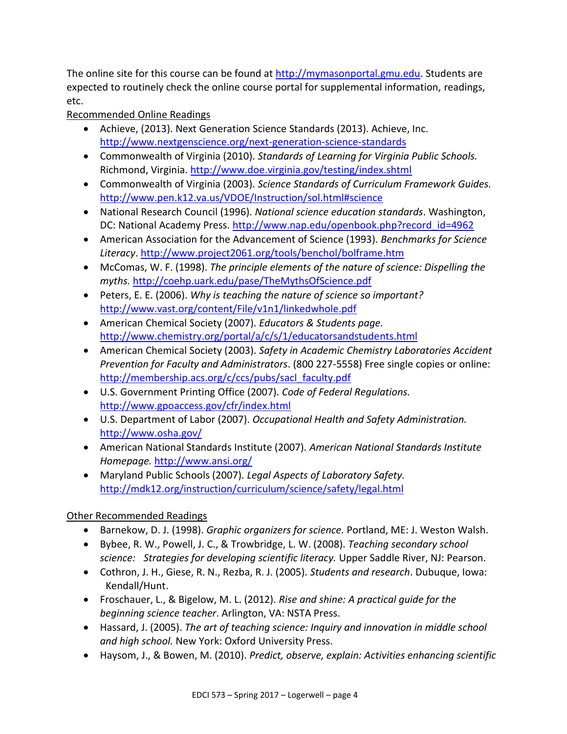The online site for this course can be found at [http://mymasonportal.gmu.edu.](http://mymasonportal.gmu.edu/) Students are expected to routinely check the online course portal for supplemental information, readings, etc.

# Recommended Online Readings

- Achieve, (2013). Next Generation Science Standards (2013). Achieve, Inc. <http://www.nextgenscience.org/next-generation-science-standards>
- Commonwealth of Virginia (2010). *Standards of Learning for Virginia Public Schools.*  Richmond, Virginia.<http://www.doe.virginia.gov/testing/index.shtml>
- Commonwealth of Virginia (2003). *Science Standards of Curriculum Framework Guides.*  <http://www.pen.k12.va.us/VDOE/Instruction/sol.html#science>
- National Research Council (1996). *National science education standards*. Washington, DC: National Academy Press. [http://www.nap.edu/openbook.php?record\\_id=4962](http://www.nap.edu/openbook.php?record_id=4962)
- American Association for the Advancement of Science (1993). *Benchmarks for Science Literacy*.<http://www.project2061.org/tools/benchol/bolframe.htm>
- McComas, W. F. (1998). *The principle elements of the nature of science: Dispelling the myths.* <http://coehp.uark.edu/pase/TheMythsOfScience.pdf>
- Peters, E. E. (2006). *Why is teaching the nature of science so important?*  <http://www.vast.org/content/File/v1n1/linkedwhole.pdf>
- American Chemical Society (2007). *Educators & Students page.*  <http://www.chemistry.org/portal/a/c/s/1/educatorsandstudents.html>
- American Chemical Society (2003). *Safety in Academic Chemistry Laboratories Accident Prevention for Faculty and Administrators*. (800 227-5558) Free single copies or online: [http://membership.acs.org/c/ccs/pubs/sacl\\_faculty.pdf](http://membership.acs.org/c/ccs/pubs/sacl_faculty.pdf)
- U.S. Government Printing Office (2007). *Code of Federal Regulations.*  <http://www.gpoaccess.gov/cfr/index.html>
- U.S. Department of Labor (2007). *Occupational Health and Safety Administration.*  <http://www.osha.gov/>
- American National Standards Institute (2007). *American National Standards Institute Homepage.* <http://www.ansi.org/>
- Maryland Public Schools (2007). *Legal Aspects of Laboratory Safety.*  <http://mdk12.org/instruction/curriculum/science/safety/legal.html>

# Other Recommended Readings

- Barnekow, D. J. (1998). *Graphic organizers for science.* Portland, ME: J. Weston Walsh.
- Bybee, R. W., Powell, J. C., & Trowbridge, L. W. (2008). *Teaching secondary school science: Strategies for developing scientific literacy.* Upper Saddle River, NJ: Pearson.
- Cothron, J. H., Giese, R. N., Rezba, R. J. (2005). *Students and research*. Dubuque, Iowa: Kendall/Hunt.
- Froschauer, L., & Bigelow, M. L. (2012). *Rise and shine: A practical guide for the beginning science teacher*. Arlington, VA: NSTA Press.
- Hassard, J. (2005). *The art of teaching science: Inquiry and innovation in middle school and high school.* New York: Oxford University Press.
- Haysom, J., & Bowen, M. (2010). *Predict, observe, explain: Activities enhancing scientific*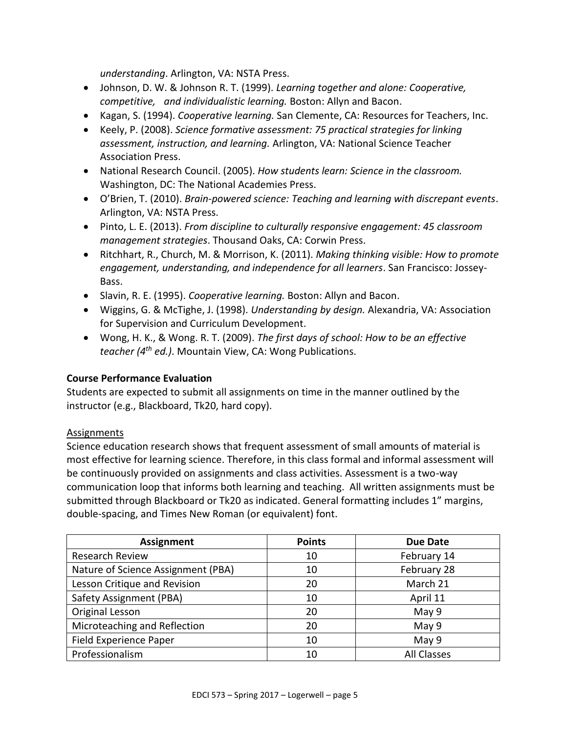*understanding*. Arlington, VA: NSTA Press.

- Johnson, D. W. & Johnson R. T. (1999). *Learning together and alone: Cooperative, competitive, and individualistic learning.* Boston: Allyn and Bacon.
- Kagan, S. (1994). *Cooperative learning.* San Clemente, CA: Resources for Teachers, Inc.
- Keely, P. (2008). *Science formative assessment: 75 practical strategies for linking assessment, instruction, and learning.* Arlington, VA: National Science Teacher Association Press.
- National Research Council. (2005). *How students learn: Science in the classroom.*  Washington, DC: The National Academies Press.
- O'Brien, T. (2010). *Brain-powered science: Teaching and learning with discrepant events*. Arlington, VA: NSTA Press.
- Pinto, L. E. (2013). *From discipline to culturally responsive engagement: 45 classroom management strategies*. Thousand Oaks, CA: Corwin Press.
- Ritchhart, R., Church, M. & Morrison, K. (2011). *Making thinking visible: How to promote engagement, understanding, and independence for all learners*. San Francisco: Jossey-Bass.
- Slavin, R. E. (1995). *Cooperative learning.* Boston: Allyn and Bacon.
- Wiggins, G. & McTighe, J. (1998). *Understanding by design.* Alexandria, VA: Association for Supervision and Curriculum Development.
- Wong, H. K., & Wong. R. T. (2009). *The first days of school: How to be an effective teacher (4th ed.)*. Mountain View, CA: Wong Publications.

## **Course Performance Evaluation**

Students are expected to submit all assignments on time in the manner outlined by the instructor (e.g., Blackboard, Tk20, hard copy).

## Assignments

Science education research shows that frequent assessment of small amounts of material is most effective for learning science. Therefore, in this class formal and informal assessment will be continuously provided on assignments and class activities. Assessment is a two-way communication loop that informs both learning and teaching. All written assignments must be submitted through Blackboard or Tk20 as indicated. General formatting includes 1" margins, double-spacing, and Times New Roman (or equivalent) font.

| Assignment                         | <b>Points</b> | <b>Due Date</b>    |
|------------------------------------|---------------|--------------------|
| <b>Research Review</b>             | 10            | February 14        |
| Nature of Science Assignment (PBA) | 10            | February 28        |
| Lesson Critique and Revision       | 20            | March 21           |
| Safety Assignment (PBA)            | 10            | April 11           |
| Original Lesson                    | 20            | May 9              |
| Microteaching and Reflection       | 20            | May 9              |
| Field Experience Paper             | 10            | May 9              |
| Professionalism                    | 10            | <b>All Classes</b> |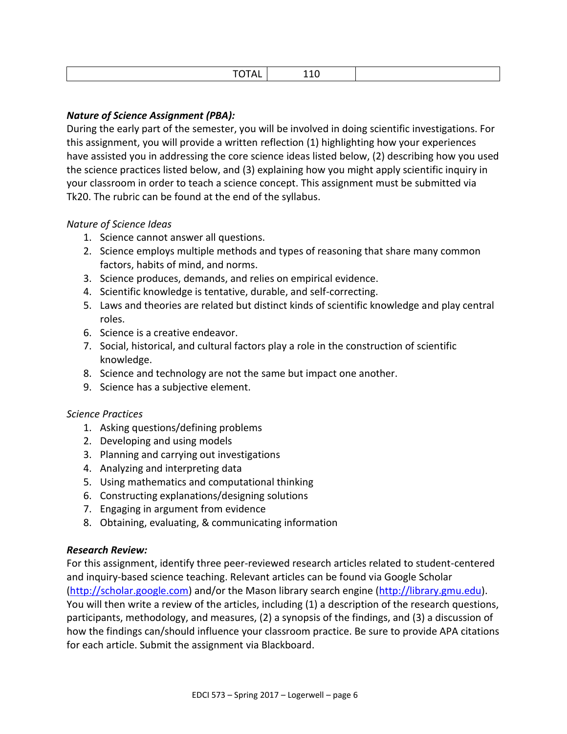# *Nature of Science Assignment (PBA):*

During the early part of the semester, you will be involved in doing scientific investigations. For this assignment, you will provide a written reflection (1) highlighting how your experiences have assisted you in addressing the core science ideas listed below, (2) describing how you used the science practices listed below, and (3) explaining how you might apply scientific inquiry in your classroom in order to teach a science concept. This assignment must be submitted via Tk20. The rubric can be found at the end of the syllabus.

## *Nature of Science Ideas*

- 1. Science cannot answer all questions.
- 2. Science employs multiple methods and types of reasoning that share many common factors, habits of mind, and norms.
- 3. Science produces, demands, and relies on empirical evidence.
- 4. Scientific knowledge is tentative, durable, and self-correcting.
- 5. Laws and theories are related but distinct kinds of scientific knowledge and play central roles.
- 6. Science is a creative endeavor.
- 7. Social, historical, and cultural factors play a role in the construction of scientific knowledge.
- 8. Science and technology are not the same but impact one another.
- 9. Science has a subjective element.

## *Science Practices*

- 1. Asking questions/defining problems
- 2. Developing and using models
- 3. Planning and carrying out investigations
- 4. Analyzing and interpreting data
- 5. Using mathematics and computational thinking
- 6. Constructing explanations/designing solutions
- 7. Engaging in argument from evidence
- 8. Obtaining, evaluating, & communicating information

## *Research Review:*

For this assignment, identify three peer-reviewed research articles related to student-centered and inquiry-based science teaching. Relevant articles can be found via Google Scholar [\(http://scholar.google.com\)](http://scholar.google.com/) and/or the Mason library search engine [\(http://library.gmu.edu\)](http://library.gmu.edu/). You will then write a review of the articles, including (1) a description of the research questions, participants, methodology, and measures, (2) a synopsis of the findings, and (3) a discussion of how the findings can/should influence your classroom practice. Be sure to provide APA citations for each article. Submit the assignment via Blackboard.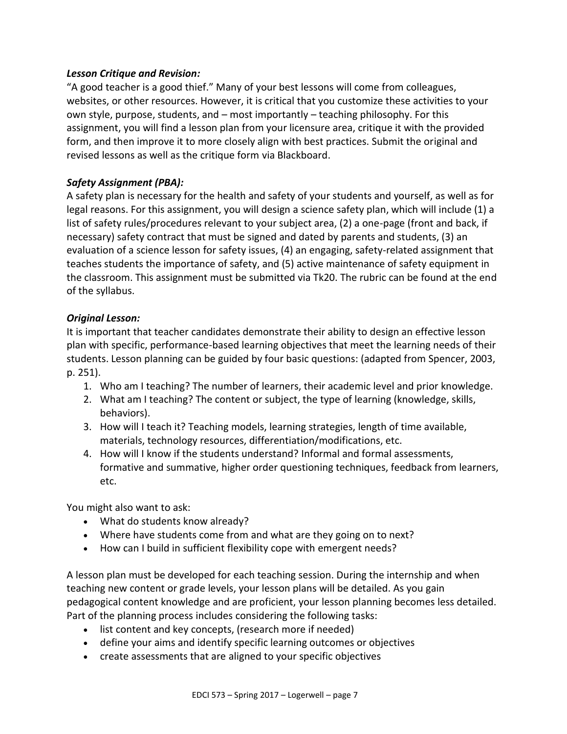# *Lesson Critique and Revision:*

"A good teacher is a good thief." Many of your best lessons will come from colleagues, websites, or other resources. However, it is critical that you customize these activities to your own style, purpose, students, and – most importantly – teaching philosophy. For this assignment, you will find a lesson plan from your licensure area, critique it with the provided form, and then improve it to more closely align with best practices. Submit the original and revised lessons as well as the critique form via Blackboard.

# *Safety Assignment (PBA):*

A safety plan is necessary for the health and safety of your students and yourself, as well as for legal reasons. For this assignment, you will design a science safety plan, which will include (1) a list of safety rules/procedures relevant to your subject area, (2) a one-page (front and back, if necessary) safety contract that must be signed and dated by parents and students, (3) an evaluation of a science lesson for safety issues, (4) an engaging, safety-related assignment that teaches students the importance of safety, and (5) active maintenance of safety equipment in the classroom. This assignment must be submitted via Tk20. The rubric can be found at the end of the syllabus.

# *Original Lesson:*

It is important that teacher candidates demonstrate their ability to design an effective lesson plan with specific, performance-based learning objectives that meet the learning needs of their students. Lesson planning can be guided by four basic questions: (adapted from Spencer, 2003, p. 251).

- 1. Who am I teaching? The number of learners, their academic level and prior knowledge.
- 2. What am I teaching? The content or subject, the type of learning (knowledge, skills, behaviors).
- 3. How will I teach it? Teaching models, learning strategies, length of time available, materials, technology resources, differentiation/modifications, etc.
- 4. How will I know if the students understand? Informal and formal assessments, formative and summative, higher order questioning techniques, feedback from learners, etc.

You might also want to ask:

- What do students know already?
- Where have students come from and what are they going on to next?
- How can I build in sufficient flexibility cope with emergent needs?

A lesson plan must be developed for each teaching session. During the internship and when teaching new content or grade levels, your lesson plans will be detailed. As you gain pedagogical content knowledge and are proficient, your lesson planning becomes less detailed. Part of the planning process includes considering the following tasks:

- list content and key concepts, (research more if needed)
- define your aims and identify specific learning outcomes or objectives
- create assessments that are aligned to your specific objectives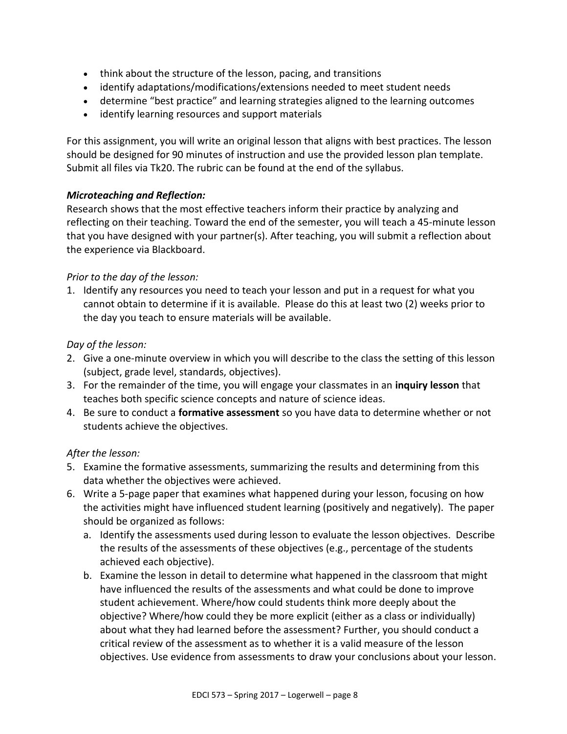- think about the structure of the lesson, pacing, and transitions
- identify adaptations/modifications/extensions needed to meet student needs
- determine "best practice" and learning strategies aligned to the learning outcomes
- identify learning resources and support materials

For this assignment, you will write an original lesson that aligns with best practices. The lesson should be designed for 90 minutes of instruction and use the provided lesson plan template. Submit all files via Tk20. The rubric can be found at the end of the syllabus.

# *Microteaching and Reflection:*

Research shows that the most effective teachers inform their practice by analyzing and reflecting on their teaching. Toward the end of the semester, you will teach a 45-minute lesson that you have designed with your partner(s). After teaching, you will submit a reflection about the experience via Blackboard.

# *Prior to the day of the lesson:*

1. Identify any resources you need to teach your lesson and put in a request for what you cannot obtain to determine if it is available. Please do this at least two (2) weeks prior to the day you teach to ensure materials will be available.

# *Day of the lesson:*

- 2. Give a one-minute overview in which you will describe to the class the setting of this lesson (subject, grade level, standards, objectives).
- 3. For the remainder of the time, you will engage your classmates in an **inquiry lesson** that teaches both specific science concepts and nature of science ideas.
- 4. Be sure to conduct a **formative assessment** so you have data to determine whether or not students achieve the objectives.

# *After the lesson:*

- 5. Examine the formative assessments, summarizing the results and determining from this data whether the objectives were achieved.
- 6. Write a 5-page paper that examines what happened during your lesson, focusing on how the activities might have influenced student learning (positively and negatively). The paper should be organized as follows:
	- a. Identify the assessments used during lesson to evaluate the lesson objectives. Describe the results of the assessments of these objectives (e.g., percentage of the students achieved each objective).
	- b. Examine the lesson in detail to determine what happened in the classroom that might have influenced the results of the assessments and what could be done to improve student achievement. Where/how could students think more deeply about the objective? Where/how could they be more explicit (either as a class or individually) about what they had learned before the assessment? Further, you should conduct a critical review of the assessment as to whether it is a valid measure of the lesson objectives. Use evidence from assessments to draw your conclusions about your lesson.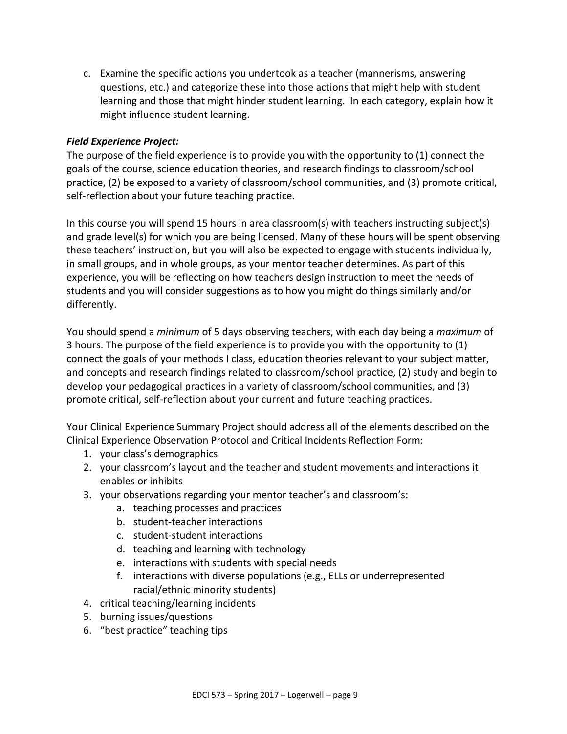c. Examine the specific actions you undertook as a teacher (mannerisms, answering questions, etc.) and categorize these into those actions that might help with student learning and those that might hinder student learning. In each category, explain how it might influence student learning.

# *Field Experience Project:*

The purpose of the field experience is to provide you with the opportunity to (1) connect the goals of the course, science education theories, and research findings to classroom/school practice, (2) be exposed to a variety of classroom/school communities, and (3) promote critical, self-reflection about your future teaching practice.

In this course you will spend 15 hours in area classroom(s) with teachers instructing subject(s) and grade level(s) for which you are being licensed. Many of these hours will be spent observing these teachers' instruction, but you will also be expected to engage with students individually, in small groups, and in whole groups, as your mentor teacher determines. As part of this experience, you will be reflecting on how teachers design instruction to meet the needs of students and you will consider suggestions as to how you might do things similarly and/or differently.

You should spend a *minimum* of 5 days observing teachers, with each day being a *maximum* of 3 hours. The purpose of the field experience is to provide you with the opportunity to (1) connect the goals of your methods I class, education theories relevant to your subject matter, and concepts and research findings related to classroom/school practice, (2) study and begin to develop your pedagogical practices in a variety of classroom/school communities, and (3) promote critical, self-reflection about your current and future teaching practices.

Your Clinical Experience Summary Project should address all of the elements described on the Clinical Experience Observation Protocol and Critical Incidents Reflection Form:

- 1. your class's demographics
- 2. your classroom's layout and the teacher and student movements and interactions it enables or inhibits
- 3. your observations regarding your mentor teacher's and classroom's:
	- a. teaching processes and practices
	- b. student-teacher interactions
	- c. student-student interactions
	- d. teaching and learning with technology
	- e. interactions with students with special needs
	- f. interactions with diverse populations (e.g., ELLs or underrepresented racial/ethnic minority students)
- 4. critical teaching/learning incidents
- 5. burning issues/questions
- 6. "best practice" teaching tips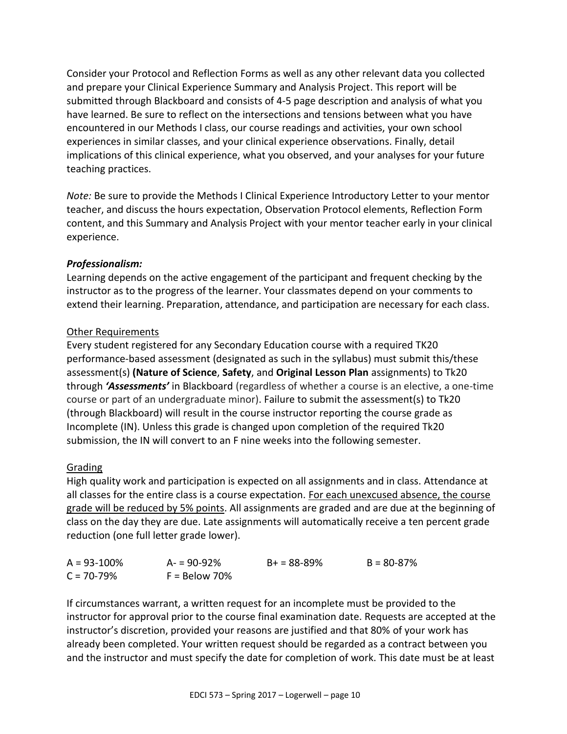Consider your Protocol and Reflection Forms as well as any other relevant data you collected and prepare your Clinical Experience Summary and Analysis Project. This report will be submitted through Blackboard and consists of 4-5 page description and analysis of what you have learned. Be sure to reflect on the intersections and tensions between what you have encountered in our Methods I class, our course readings and activities, your own school experiences in similar classes, and your clinical experience observations. Finally, detail implications of this clinical experience, what you observed, and your analyses for your future teaching practices.

*Note:* Be sure to provide the Methods I Clinical Experience Introductory Letter to your mentor teacher, and discuss the hours expectation, Observation Protocol elements, Reflection Form content, and this Summary and Analysis Project with your mentor teacher early in your clinical experience.

# *Professionalism:*

Learning depends on the active engagement of the participant and frequent checking by the instructor as to the progress of the learner. Your classmates depend on your comments to extend their learning. Preparation, attendance, and participation are necessary for each class.

# Other Requirements

Every student registered for any Secondary Education course with a required TK20 performance-based assessment (designated as such in the syllabus) must submit this/these assessment(s) **(Nature of Science**, **Safety**, and **Original Lesson Plan** assignments) to Tk20 through *'Assessments'* in Blackboard (regardless of whether a course is an elective, a one-time course or part of an undergraduate minor). Failure to submit the assessment(s) to Tk20 (through Blackboard) will result in the course instructor reporting the course grade as Incomplete (IN). Unless this grade is changed upon completion of the required Tk20 submission, the IN will convert to an F nine weeks into the following semester.

## Grading

High quality work and participation is expected on all assignments and in class. Attendance at all classes for the entire class is a course expectation. For each unexcused absence, the course grade will be reduced by 5% points. All assignments are graded and are due at the beginning of class on the day they are due. Late assignments will automatically receive a ten percent grade reduction (one full letter grade lower).

| $A = 93 - 100\%$ | $A = 90 - 92%$  | $B+ = 88-89%$ | $B = 80 - 87%$ |
|------------------|-----------------|---------------|----------------|
| $C = 70 - 79\%$  | $F =$ Below 70% |               |                |

If circumstances warrant, a written request for an incomplete must be provided to the instructor for approval prior to the course final examination date. Requests are accepted at the instructor's discretion, provided your reasons are justified and that 80% of your work has already been completed. Your written request should be regarded as a contract between you and the instructor and must specify the date for completion of work. This date must be at least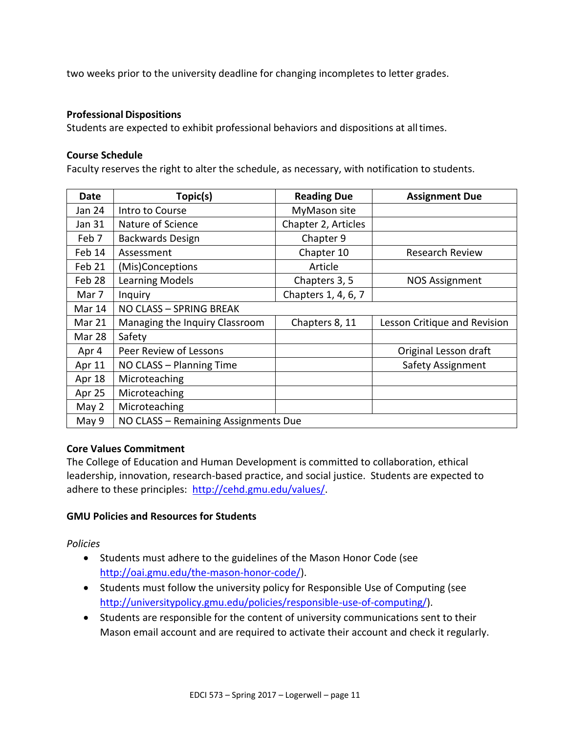two weeks prior to the university deadline for changing incompletes to letter grades.

#### **Professional Dispositions**

Students are expected to exhibit professional behaviors and dispositions at alltimes.

#### **Course Schedule**

Faculty reserves the right to alter the schedule, as necessary, with notification to students.

| <b>Date</b> | Topic(s)                             | <b>Reading Due</b>  | <b>Assignment Due</b>        |
|-------------|--------------------------------------|---------------------|------------------------------|
| Jan 24      | Intro to Course                      | MyMason site        |                              |
| Jan 31      | Nature of Science                    | Chapter 2, Articles |                              |
| Feb 7       | Backwards Design                     | Chapter 9           |                              |
| Feb 14      | Assessment                           | Chapter 10          | <b>Research Review</b>       |
| Feb 21      | (Mis)Conceptions                     | Article             |                              |
| Feb 28      | Learning Models                      | Chapters 3, 5       | <b>NOS Assignment</b>        |
| Mar 7       | Inquiry                              | Chapters 1, 4, 6, 7 |                              |
| Mar 14      | NO CLASS - SPRING BREAK              |                     |                              |
| Mar 21      | Managing the Inquiry Classroom       | Chapters 8, 11      | Lesson Critique and Revision |
| Mar 28      | Safety                               |                     |                              |
| Apr 4       | Peer Review of Lessons               |                     | Original Lesson draft        |
| Apr 11      | NO CLASS - Planning Time             |                     | <b>Safety Assignment</b>     |
| Apr 18      | Microteaching                        |                     |                              |
| Apr 25      | Microteaching                        |                     |                              |
| May 2       | Microteaching                        |                     |                              |
| May 9       | NO CLASS - Remaining Assignments Due |                     |                              |

## **Core Values Commitment**

The College of Education and Human Development is committed to collaboration, ethical leadership, innovation, research-based practice, and social justice. Students are expected to adhere to these principles: [http://cehd.gmu.edu/values/.](http://cehd.gmu.edu/values/)

## **GMU Policies and Resources for Students**

*Policies*

- Students must adhere to the guidelines of the Mason Honor Code (see [http://oai.gmu.edu/the-mason-honor-code/\)](http://oai.gmu.edu/the-mason-honor-code/).
- Students must follow the university policy for Responsible Use of Computing (see [http://universitypolicy.gmu.edu/policies/responsible-use-of-computing/\)](http://universitypolicy.gmu.edu/policies/responsible-use-of-computing/).
- Students are responsible for the content of university communications sent to their Mason email account and are required to activate their account and check it regularly.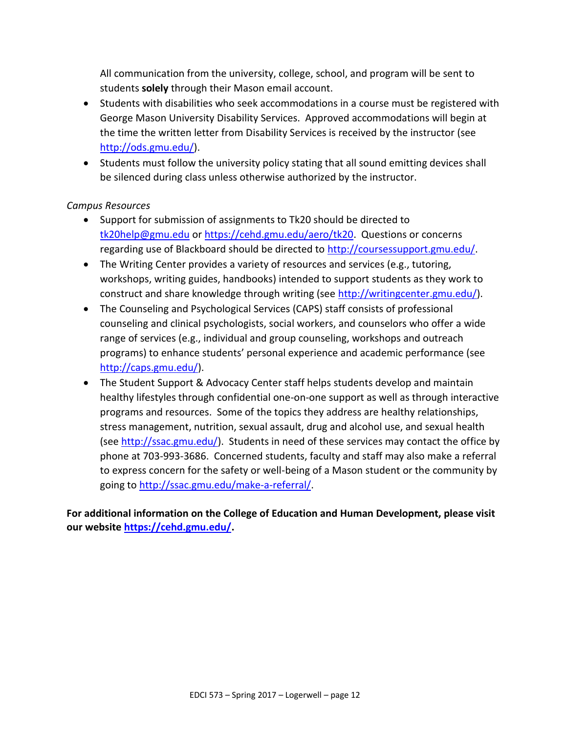All communication from the university, college, school, and program will be sent to students **solely** through their Mason email account.

- Students with disabilities who seek accommodations in a course must be registered with George Mason University Disability Services. Approved accommodations will begin at the time the written letter from Disability Services is received by the instructor (see [http://ods.gmu.edu/\)](http://ods.gmu.edu/).
- Students must follow the university policy stating that all sound emitting devices shall be silenced during class unless otherwise authorized by the instructor.

# *Campus Resources*

- Support for submission of assignments to Tk20 should be directed to [tk20help@gmu.edu](mailto:tk20help@gmu.edu) or [https://cehd.gmu.edu/aero/tk20.](https://cehd.gmu.edu/aero/tk20) Questions or concerns regarding use of Blackboard should be directed to [http://coursessupport.gmu.edu/.](http://coursessupport.gmu.edu/)
- The Writing Center provides a variety of resources and services (e.g., tutoring, workshops, writing guides, handbooks) intended to support students as they work to construct and share knowledge through writing (see [http://writingcenter.gmu.edu/\)](http://writingcenter.gmu.edu/).
- The Counseling and Psychological Services (CAPS) staff consists of professional counseling and clinical psychologists, social workers, and counselors who offer a wide range of services (e.g., individual and group counseling, workshops and outreach programs) to enhance students' personal experience and academic performance (see [http://caps.gmu.edu/\)](http://caps.gmu.edu/).
- The Student Support & Advocacy Center staff helps students develop and maintain healthy lifestyles through confidential one-on-one support as well as through interactive programs and resources. Some of the topics they address are healthy relationships, stress management, nutrition, sexual assault, drug and alcohol use, and sexual health (see [http://ssac.gmu.edu/\)](http://ssac.gmu.edu/). Students in need of these services may contact the office by phone at 703-993-3686. Concerned students, faculty and staff may also make a referral to express concern for the safety or well-being of a Mason student or the community by going to [http://ssac.gmu.edu/make-a-referral/.](http://ssac.gmu.edu/make-a-referral/)

**For additional information on the College of Education and Human Development, please visit our website [https://cehd.gmu.edu/.](https://cehd.gmu.edu/)**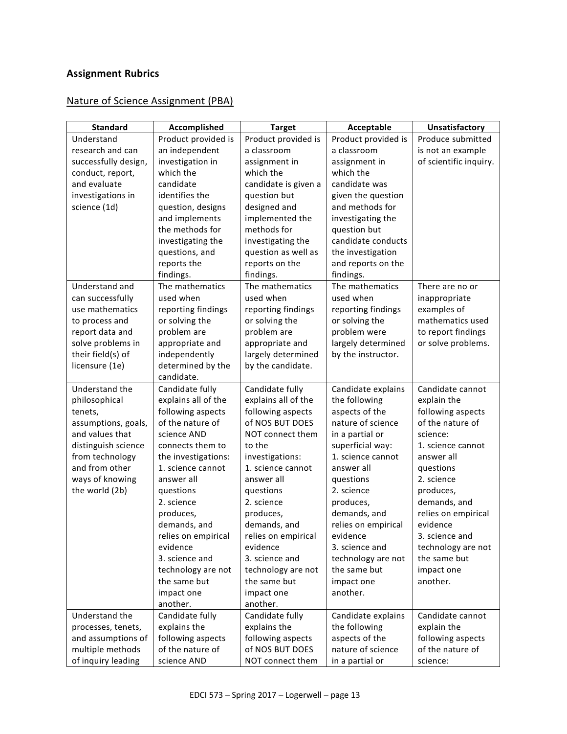# **Assignment Rubrics**

# Nature of Science Assignment (PBA)

| <b>Standard</b>      | Accomplished        | <b>Target</b>        | Acceptable          | Unsatisfactory         |
|----------------------|---------------------|----------------------|---------------------|------------------------|
| Understand           | Product provided is | Product provided is  | Product provided is | Produce submitted      |
| research and can     | an independent      | a classroom          | a classroom         | is not an example      |
| successfully design, | investigation in    | assignment in        | assignment in       | of scientific inquiry. |
| conduct, report,     | which the           | which the            | which the           |                        |
| and evaluate         | candidate           | candidate is given a | candidate was       |                        |
| investigations in    | identifies the      | question but         | given the question  |                        |
| science (1d)         | question, designs   | designed and         | and methods for     |                        |
|                      | and implements      | implemented the      | investigating the   |                        |
|                      | the methods for     | methods for          | question but        |                        |
|                      | investigating the   | investigating the    | candidate conducts  |                        |
|                      | questions, and      | question as well as  | the investigation   |                        |
|                      | reports the         | reports on the       | and reports on the  |                        |
|                      | findings.           | findings.            | findings.           |                        |
| Understand and       | The mathematics     | The mathematics      | The mathematics     | There are no or        |
| can successfully     | used when           | used when            | used when           | inappropriate          |
| use mathematics      | reporting findings  | reporting findings   | reporting findings  | examples of            |
| to process and       | or solving the      | or solving the       | or solving the      | mathematics used       |
| report data and      | problem are         | problem are          | problem were        | to report findings     |
| solve problems in    | appropriate and     | appropriate and      | largely determined  | or solve problems.     |
| their field(s) of    | independently       | largely determined   | by the instructor.  |                        |
| licensure (1e)       | determined by the   | by the candidate.    |                     |                        |
|                      | candidate.          |                      |                     |                        |
| Understand the       | Candidate fully     | Candidate fully      | Candidate explains  | Candidate cannot       |
| philosophical        | explains all of the | explains all of the  | the following       | explain the            |
| tenets,              | following aspects   | following aspects    | aspects of the      | following aspects      |
| assumptions, goals,  | of the nature of    | of NOS BUT DOES      | nature of science   | of the nature of       |
| and values that      | science AND         | NOT connect them     | in a partial or     | science:               |
| distinguish science  | connects them to    | to the               | superficial way:    | 1. science cannot      |
| from technology      | the investigations: | investigations:      | 1. science cannot   | answer all             |
| and from other       | 1. science cannot   | 1. science cannot    | answer all          | questions              |
| ways of knowing      | answer all          | answer all           | questions           | 2. science             |
| the world (2b)       | questions           | questions            | 2. science          | produces,              |
|                      | 2. science          | 2. science           | produces,           | demands, and           |
|                      | produces,           | produces,            | demands, and        | relies on empirical    |
|                      | demands, and        | demands, and         | relies on empirical | evidence               |
|                      | relies on empirical | relies on empirical  | evidence            | 3. science and         |
|                      | evidence            | evidence             | 3. science and      | technology are not     |
|                      | 3. science and      | 3. science and       | technology are not  | the same but           |
|                      | technology are not  | technology are not   | the same but        | impact one             |
|                      | the same but        | the same but         | impact one          | another.               |
|                      | impact one          | impact one           | another.            |                        |
|                      | another.            | another.             |                     |                        |
| Understand the       | Candidate fully     | Candidate fully      | Candidate explains  | Candidate cannot       |
| processes, tenets,   | explains the        | explains the         | the following       | explain the            |
| and assumptions of   | following aspects   | following aspects    | aspects of the      | following aspects      |
| multiple methods     | of the nature of    | of NOS BUT DOES      | nature of science   | of the nature of       |
| of inquiry leading   | science AND         | NOT connect them     | in a partial or     | science:               |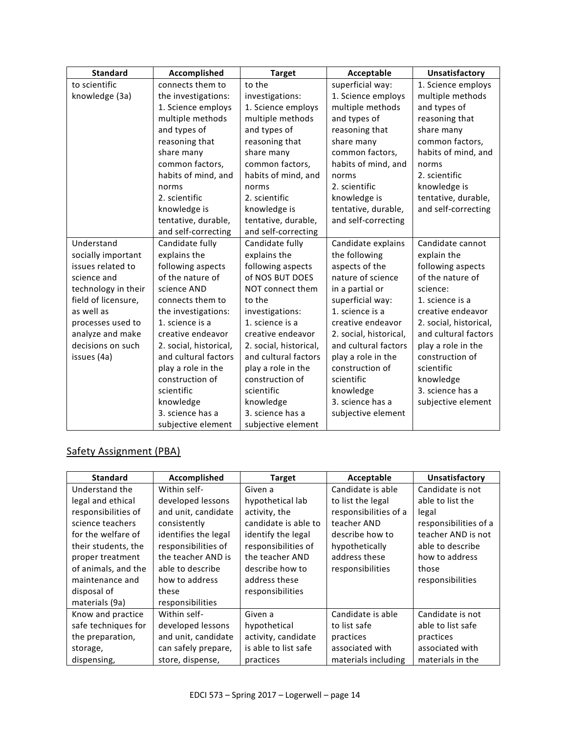| <b>Standard</b>     | Accomplished           | <b>Target</b>          | Acceptable             | Unsatisfactory         |
|---------------------|------------------------|------------------------|------------------------|------------------------|
| to scientific       | connects them to       | to the                 | superficial way:       | 1. Science employs     |
| knowledge (3a)      | the investigations:    | investigations:        | 1. Science employs     | multiple methods       |
|                     | 1. Science employs     | 1. Science employs     | multiple methods       | and types of           |
|                     | multiple methods       | multiple methods       | and types of           | reasoning that         |
|                     | and types of           | and types of           | reasoning that         | share many             |
|                     | reasoning that         | reasoning that         | share many             | common factors,        |
|                     | share many             | share many             | common factors,        | habits of mind, and    |
|                     | common factors,        | common factors,        | habits of mind, and    | norms                  |
|                     | habits of mind, and    | habits of mind, and    | norms                  | 2. scientific          |
|                     | norms                  | norms                  | 2. scientific          | knowledge is           |
|                     | 2. scientific          | 2. scientific          | knowledge is           | tentative, durable,    |
|                     | knowledge is           | knowledge is           | tentative, durable,    | and self-correcting    |
|                     | tentative, durable,    | tentative, durable,    | and self-correcting    |                        |
|                     | and self-correcting    | and self-correcting    |                        |                        |
| Understand          | Candidate fully        | Candidate fully        | Candidate explains     | Candidate cannot       |
| socially important  | explains the           | explains the           | the following          | explain the            |
| issues related to   | following aspects      | following aspects      | aspects of the         | following aspects      |
| science and         | of the nature of       | of NOS BUT DOES        | nature of science      | of the nature of       |
| technology in their | science AND            | NOT connect them       | in a partial or        | science:               |
| field of licensure, | connects them to       | to the                 | superficial way:       | 1. science is a        |
| as well as          | the investigations:    | investigations:        | 1. science is a        | creative endeavor      |
| processes used to   | 1. science is a        | 1. science is a        | creative endeavor      | 2. social, historical, |
| analyze and make    | creative endeavor      | creative endeavor      | 2. social, historical, | and cultural factors   |
| decisions on such   | 2. social, historical, | 2. social, historical, | and cultural factors   | play a role in the     |
| issues (4a)         | and cultural factors   | and cultural factors   | play a role in the     | construction of        |
|                     | play a role in the     | play a role in the     | construction of        | scientific             |
|                     | construction of        | construction of        | scientific             | knowledge              |
|                     | scientific             | scientific             | knowledge              | 3. science has a       |
|                     | knowledge              | knowledge              | 3. science has a       | subjective element     |
|                     | 3. science has a       | 3. science has a       | subjective element     |                        |
|                     | subjective element     | subjective element     |                        |                        |

# Safety Assignment (PBA)

| <b>Standard</b>     | Accomplished         | <b>Target</b>        | Acceptable            | Unsatisfactory        |
|---------------------|----------------------|----------------------|-----------------------|-----------------------|
| Understand the      | Within self-         | Given a              | Candidate is able     | Candidate is not      |
| legal and ethical   | developed lessons    | hypothetical lab     | to list the legal     | able to list the      |
| responsibilities of | and unit, candidate  | activity, the        | responsibilities of a | legal                 |
| science teachers    | consistently         | candidate is able to | teacher AND           | responsibilities of a |
| for the welfare of  | identifies the legal | identify the legal   | describe how to       | teacher AND is not    |
| their students, the | responsibilities of  | responsibilities of  | hypothetically        | able to describe      |
| proper treatment    | the teacher AND is   | the teacher AND      | address these         | how to address        |
| of animals, and the | able to describe     | describe how to      | responsibilities      | those                 |
| maintenance and     | how to address       | address these        |                       | responsibilities      |
| disposal of         | these                | responsibilities     |                       |                       |
| materials (9a)      | responsibilities     |                      |                       |                       |
| Know and practice   | Within self-         | Given a              | Candidate is able     | Candidate is not      |
| safe techniques for | developed lessons    | hypothetical         | to list safe          | able to list safe     |
| the preparation,    | and unit, candidate  | activity, candidate  | practices             | practices             |
| storage,            | can safely prepare,  | is able to list safe | associated with       | associated with       |
| dispensing,         | store, dispense,     | practices            | materials including   | materials in the      |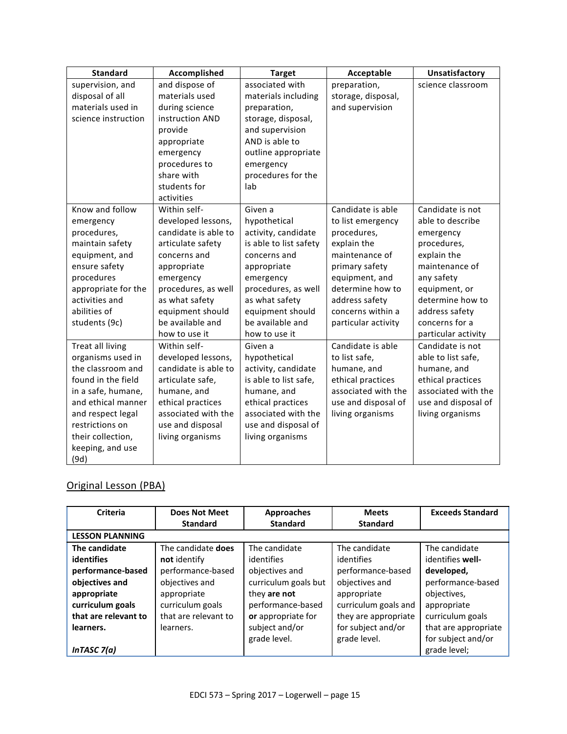| <b>Standard</b>     | Accomplished         | <b>Target</b>          | Acceptable          | Unsatisfactory      |
|---------------------|----------------------|------------------------|---------------------|---------------------|
| supervision, and    | and dispose of       | associated with        | preparation,        | science classroom   |
| disposal of all     | materials used       | materials including    | storage, disposal,  |                     |
| materials used in   | during science       | preparation,           | and supervision     |                     |
| science instruction | instruction AND      | storage, disposal,     |                     |                     |
|                     | provide              | and supervision        |                     |                     |
|                     | appropriate          | AND is able to         |                     |                     |
|                     | emergency            | outline appropriate    |                     |                     |
|                     | procedures to        | emergency              |                     |                     |
|                     | share with           | procedures for the     |                     |                     |
|                     | students for         | lab                    |                     |                     |
|                     | activities           |                        |                     |                     |
| Know and follow     | Within self-         | Given a                | Candidate is able   | Candidate is not    |
| emergency           | developed lessons,   | hypothetical           | to list emergency   | able to describe    |
| procedures,         | candidate is able to | activity, candidate    | procedures,         | emergency           |
| maintain safety     | articulate safety    | is able to list safety | explain the         | procedures,         |
| equipment, and      | concerns and         | concerns and           | maintenance of      | explain the         |
| ensure safety       | appropriate          | appropriate            | primary safety      | maintenance of      |
| procedures          | emergency            | emergency              | equipment, and      | any safety          |
| appropriate for the | procedures, as well  | procedures, as well    | determine how to    | equipment, or       |
| activities and      | as what safety       | as what safety         | address safety      | determine how to    |
| abilities of        | equipment should     | equipment should       | concerns within a   | address safety      |
| students (9c)       | be available and     | be available and       | particular activity | concerns for a      |
|                     | how to use it        | how to use it          |                     | particular activity |
| Treat all living    | Within self-         | Given a                | Candidate is able   | Candidate is not    |
| organisms used in   | developed lessons,   | hypothetical           | to list safe,       | able to list safe,  |
| the classroom and   | candidate is able to | activity, candidate    | humane, and         | humane, and         |
| found in the field  | articulate safe,     | is able to list safe,  | ethical practices   | ethical practices   |
| in a safe, humane,  | humane, and          | humane, and            | associated with the | associated with the |
| and ethical manner  | ethical practices    | ethical practices      | use and disposal of | use and disposal of |
| and respect legal   | associated with the  | associated with the    | living organisms    | living organisms    |
| restrictions on     | use and disposal     | use and disposal of    |                     |                     |
| their collection,   | living organisms     | living organisms       |                     |                     |
| keeping, and use    |                      |                        |                     |                     |
| (9d)                |                      |                        |                     |                     |

# Original Lesson (PBA)

| Criteria               | <b>Does Not Meet</b> | <b>Approaches</b>    | <b>Meets</b>         | <b>Exceeds Standard</b> |
|------------------------|----------------------|----------------------|----------------------|-------------------------|
|                        | <b>Standard</b>      | <b>Standard</b>      | <b>Standard</b>      |                         |
| <b>LESSON PLANNING</b> |                      |                      |                      |                         |
| The candidate          | The candidate does   | The candidate        | The candidate        | The candidate           |
| <b>identifies</b>      | not identify         | identifies           | identifies           | identifies well-        |
| performance-based      | performance-based    | objectives and       | performance-based    | developed,              |
| objectives and         | objectives and       | curriculum goals but | objectives and       | performance-based       |
| appropriate            | appropriate          | they are not         | appropriate          | objectives,             |
| curriculum goals       | curriculum goals     | performance-based    | curriculum goals and | appropriate             |
| that are relevant to   | that are relevant to | or appropriate for   | they are appropriate | curriculum goals        |
| learners.              | learners.            | subject and/or       | for subject and/or   | that are appropriate    |
|                        |                      | grade level.         | grade level.         | for subject and/or      |
| InTASC $7(a)$          |                      |                      |                      | grade level;            |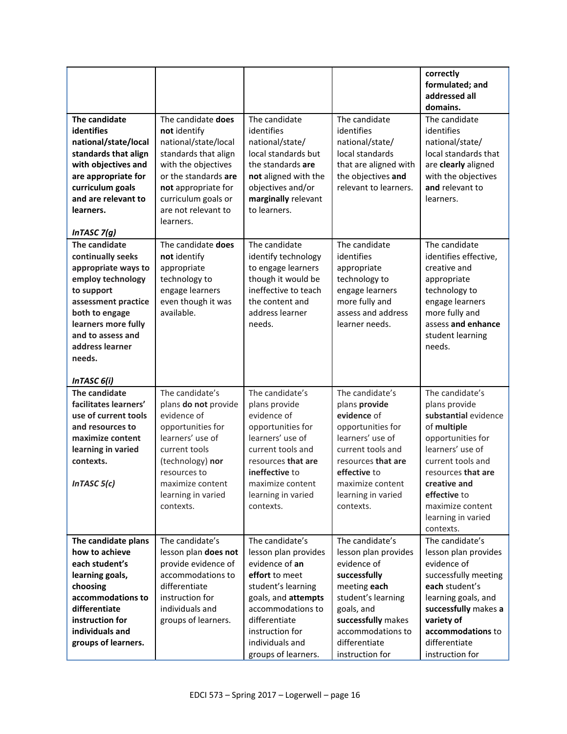|                                                                                                                                                                                                                               |                                                                                                                                                                                                                     |                                                                                                                                                                                                                             |                                                                                                                                                                                                            | correctly<br>formulated; and<br>addressed all<br>domains.                                                                                                                                                                                          |
|-------------------------------------------------------------------------------------------------------------------------------------------------------------------------------------------------------------------------------|---------------------------------------------------------------------------------------------------------------------------------------------------------------------------------------------------------------------|-----------------------------------------------------------------------------------------------------------------------------------------------------------------------------------------------------------------------------|------------------------------------------------------------------------------------------------------------------------------------------------------------------------------------------------------------|----------------------------------------------------------------------------------------------------------------------------------------------------------------------------------------------------------------------------------------------------|
| The candidate<br>identifies<br>national/state/local<br>standards that align<br>with objectives and<br>are appropriate for<br>curriculum goals<br>and are relevant to<br>learners.<br>InTASC $7(g)$                            | The candidate does<br>not identify<br>national/state/local<br>standards that align<br>with the objectives<br>or the standards are<br>not appropriate for<br>curriculum goals or<br>are not relevant to<br>learners. | The candidate<br>identifies<br>national/state/<br>local standards but<br>the standards are<br>not aligned with the<br>objectives and/or<br>marginally relevant<br>to learners.                                              | The candidate<br>identifies<br>national/state/<br>local standards<br>that are aligned with<br>the objectives and<br>relevant to learners.                                                                  | The candidate<br>identifies<br>national/state/<br>local standards that<br>are clearly aligned<br>with the objectives<br>and relevant to<br>learners.                                                                                               |
| The candidate<br>continually seeks<br>appropriate ways to<br>employ technology<br>to support<br>assessment practice<br>both to engage<br>learners more fully<br>and to assess and<br>address learner<br>needs.<br>InTASC 6(i) | The candidate does<br>not identify<br>appropriate<br>technology to<br>engage learners<br>even though it was<br>available.                                                                                           | The candidate<br>identify technology<br>to engage learners<br>though it would be<br>ineffective to teach<br>the content and<br>address learner<br>needs.                                                                    | The candidate<br>identifies<br>appropriate<br>technology to<br>engage learners<br>more fully and<br>assess and address<br>learner needs.                                                                   | The candidate<br>identifies effective,<br>creative and<br>appropriate<br>technology to<br>engage learners<br>more fully and<br>assess and enhance<br>student learning<br>needs.                                                                    |
| The candidate<br>facilitates learners'<br>use of current tools<br>and resources to<br>maximize content<br>learning in varied<br>contexts.<br>In TASC $5(c)$                                                                   | The candidate's<br>plans do not provide<br>evidence of<br>opportunities for<br>learners' use of<br>current tools<br>(technology) nor<br>resources to<br>maximize content<br>learning in varied<br>contexts.         | The candidate's<br>plans provide<br>evidence of<br>opportunities for<br>learners' use of<br>current tools and<br>resources that are<br>ineffective to<br>maximize content<br>learning in varied<br>contexts.                | The candidate's<br>plans provide<br>evidence of<br>opportunities for<br>learners' use of<br>current tools and<br>resources that are<br>effective to<br>maximize content<br>learning in varied<br>contexts. | The candidate's<br>plans provide<br>substantial evidence<br>of multiple<br>opportunities for<br>learners' use of<br>current tools and<br>resources that are<br>creative and<br>effective to<br>maximize content<br>learning in varied<br>contexts. |
| The candidate plans<br>how to achieve<br>each student's<br>learning goals,<br>choosing<br>accommodations to<br>differentiate<br>instruction for<br>individuals and<br>groups of learners.                                     | The candidate's<br>lesson plan does not<br>provide evidence of<br>accommodations to<br>differentiate<br>instruction for<br>individuals and<br>groups of learners.                                                   | The candidate's<br>lesson plan provides<br>evidence of an<br>effort to meet<br>student's learning<br>goals, and attempts<br>accommodations to<br>differentiate<br>instruction for<br>individuals and<br>groups of learners. | The candidate's<br>lesson plan provides<br>evidence of<br>successfully<br>meeting each<br>student's learning<br>goals, and<br>successfully makes<br>accommodations to<br>differentiate<br>instruction for  | The candidate's<br>lesson plan provides<br>evidence of<br>successfully meeting<br>each student's<br>learning goals, and<br>successfully makes a<br>variety of<br>accommodations to<br>differentiate<br>instruction for                             |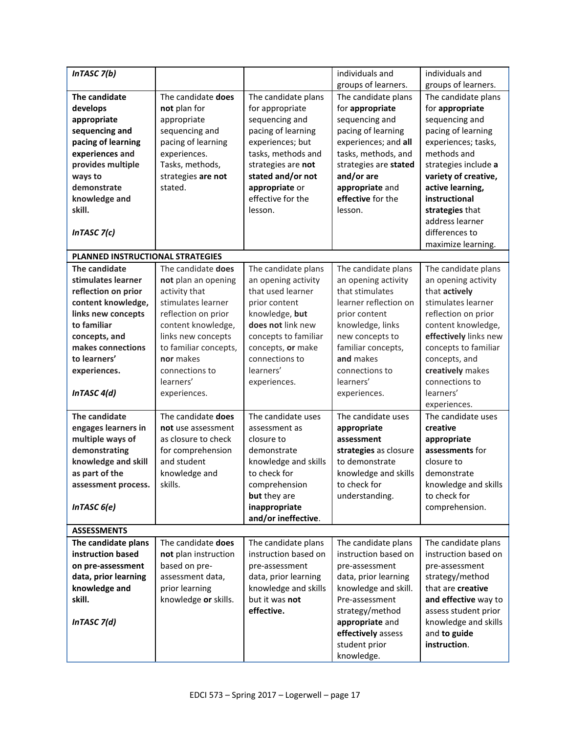| InTASC $7(b)$                    |                       |                              | individuals and                   | individuals and                           |
|----------------------------------|-----------------------|------------------------------|-----------------------------------|-------------------------------------------|
|                                  |                       |                              | groups of learners.               | groups of learners.                       |
| The candidate                    | The candidate does    | The candidate plans          | The candidate plans               | The candidate plans                       |
| develops                         | not plan for          | for appropriate              | for appropriate                   | for appropriate                           |
| appropriate                      | appropriate           | sequencing and               | sequencing and                    | sequencing and                            |
| sequencing and                   | sequencing and        | pacing of learning           | pacing of learning                | pacing of learning                        |
| pacing of learning               | pacing of learning    | experiences; but             | experiences; and all              | experiences; tasks,                       |
| experiences and                  | experiences.          | tasks, methods and           | tasks, methods, and               | methods and                               |
| provides multiple                | Tasks, methods,       | strategies are not           | strategies are stated             | strategies include a                      |
| ways to                          | strategies are not    | stated and/or not            | and/or are                        | variety of creative,                      |
| demonstrate                      | stated.               | appropriate or               | appropriate and                   | active learning,                          |
| knowledge and                    |                       | effective for the            | effective for the                 | instructional                             |
| skill.                           |                       | lesson.                      | lesson.                           | strategies that                           |
|                                  |                       |                              |                                   | address learner                           |
| InTASC $7(c)$                    |                       |                              |                                   | differences to                            |
|                                  |                       |                              |                                   | maximize learning.                        |
| PLANNED INSTRUCTIONAL STRATEGIES |                       |                              |                                   |                                           |
| The candidate                    | The candidate does    | The candidate plans          | The candidate plans               | The candidate plans                       |
| stimulates learner               | not plan an opening   | an opening activity          | an opening activity               | an opening activity                       |
| reflection on prior              | activity that         | that used learner            | that stimulates                   | that actively                             |
| content knowledge,               | stimulates learner    | prior content                | learner reflection on             | stimulates learner                        |
| links new concepts               | reflection on prior   | knowledge, but               | prior content                     | reflection on prior                       |
| to familiar                      | content knowledge,    | does not link new            | knowledge, links                  | content knowledge,                        |
| concepts, and                    | links new concepts    | concepts to familiar         | new concepts to                   | effectively links new                     |
| makes connections                | to familiar concepts, | concepts, or make            | familiar concepts,                | concepts to familiar                      |
| to learners'                     | nor makes             | connections to               | and makes                         | concepts, and                             |
| experiences.                     | connections to        | learners'                    | connections to                    | creatively makes                          |
|                                  | learners'             | experiences.                 | learners'                         | connections to                            |
| InTASC 4(d)                      | experiences.          |                              | experiences.                      | learners'                                 |
|                                  |                       |                              |                                   | experiences.                              |
| The candidate                    | The candidate does    | The candidate uses           | The candidate uses                | The candidate uses                        |
| engages learners in              | not use assessment    | assessment as                | appropriate                       | creative                                  |
| multiple ways of                 | as closure to check   | closure to                   | assessment                        | appropriate                               |
| demonstrating                    | for comprehension     | demonstrate                  | strategies as closure             | assessments for                           |
| knowledge and skill              | and student           | knowledge and skills         | to demonstrate                    | closure to                                |
| as part of the                   | knowledge and         | to check for                 | knowledge and skills              | demonstrate                               |
| assessment process.              | skills.               | comprehension                | to check for                      | knowledge and skills                      |
|                                  |                       | but they are                 | understanding.                    | to check for                              |
| In TASC $6(e)$                   |                       | inappropriate                |                                   | comprehension.                            |
|                                  |                       | and/or ineffective.          |                                   |                                           |
| <b>ASSESSMENTS</b>               |                       |                              |                                   |                                           |
| The candidate plans              | The candidate does    | The candidate plans          | The candidate plans               | The candidate plans                       |
| instruction based                | not plan instruction  | instruction based on         | instruction based on              | instruction based on                      |
| on pre-assessment                | based on pre-         | pre-assessment               | pre-assessment                    | pre-assessment                            |
| data, prior learning             | assessment data,      | data, prior learning         | data, prior learning              | strategy/method                           |
| knowledge and                    | prior learning        | knowledge and skills         | knowledge and skill.              | that are creative<br>and effective way to |
| skill.                           | knowledge or skills.  | but it was not<br>effective. | Pre-assessment<br>strategy/method | assess student prior                      |
| In TASC $7(d)$                   |                       |                              | appropriate and                   | knowledge and skills                      |
|                                  |                       |                              | effectively assess                | and to guide                              |
|                                  |                       |                              | student prior                     | instruction.                              |
|                                  |                       |                              | knowledge.                        |                                           |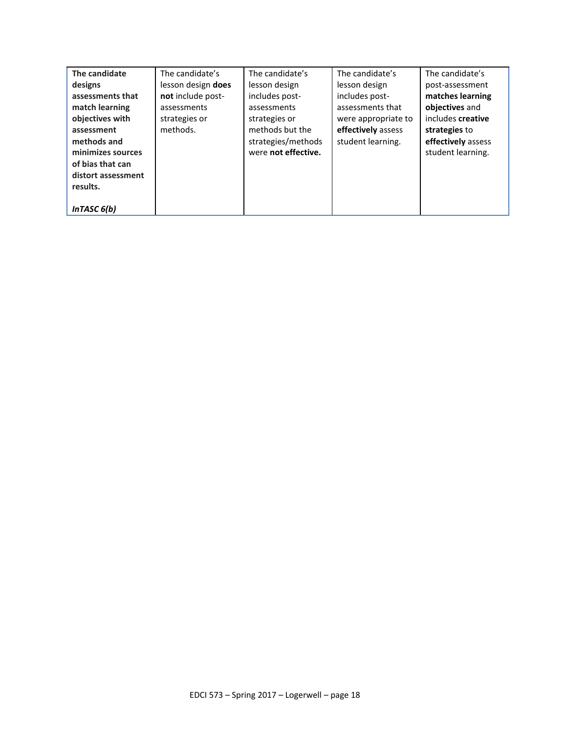| The candidate      | The candidate's    | The candidate's     | The candidate's     | The candidate's    |
|--------------------|--------------------|---------------------|---------------------|--------------------|
| designs            | lesson design does | lesson design       | lesson design       | post-assessment    |
| assessments that   | not include post-  | includes post-      | includes post-      | matches learning   |
| match learning     | assessments        | assessments         | assessments that    | objectives and     |
| objectives with    | strategies or      | strategies or       | were appropriate to | includes creative  |
| assessment         | methods.           | methods but the     | effectively assess  | strategies to      |
| methods and        |                    | strategies/methods  | student learning.   | effectively assess |
| minimizes sources  |                    | were not effective. |                     | student learning.  |
| of bias that can   |                    |                     |                     |                    |
| distort assessment |                    |                     |                     |                    |
| results.           |                    |                     |                     |                    |
|                    |                    |                     |                     |                    |
| InTASC $6(b)$      |                    |                     |                     |                    |